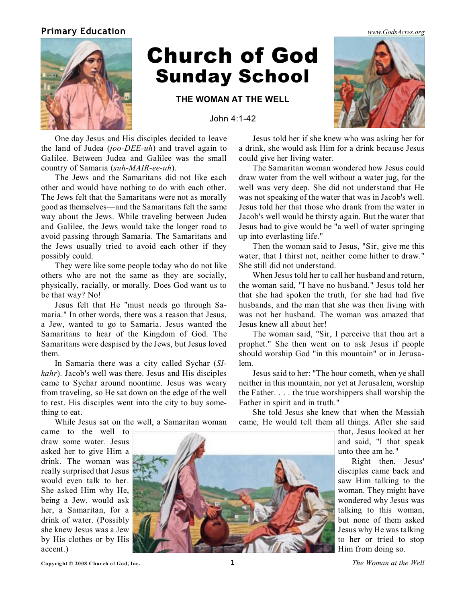## **Primary Education** *[www.GodsAcres.org](http://godsacres.org)*



## Church of God Sunday School

**THE WOMAN AT THE WELL**

John 4:1-42

One day Jesus and His disciples decided to leave the land of Judea (*joo-DEE-uh*) and travel again to Galilee. Between Judea and Galilee was the small country of Samaria (*suh-MAIR-ee-uh*).

The Jews and the Samaritans did not like each other and would have nothing to do with each other. The Jews felt that the Samaritans were not as morally good as themselves—and the Samaritans felt the same way about the Jews. While traveling between Judea and Galilee, the Jews would take the longer road to avoid passing through Samaria. The Samaritans and the Jews usually tried to avoid each other if they possibly could.

They were like some people today who do not like others who are not the same as they are socially, physically, racially, or morally. Does God want us to be that way? No!

Jesus felt that He "must needs go through Samaria." In other words, there was a reason that Jesus, a Jew, wanted to go to Samaria. Jesus wanted the Samaritans to hear of the Kingdom of God. The Samaritans were despised by the Jews, but Jesus loved them.

In Samaria there was a city called Sychar (*SIkahr*). Jacob's well was there. Jesus and His disciples came to Sychar around noontime. Jesus was weary from traveling, so He sat down on the edge of the well to rest. His disciples went into the city to buy something to eat.

While Jesus sat on the well, a Samaritan woman

Jesus told her if she knew who was asking her for a drink, she would ask Him for a drink because Jesus could give her living water.

The Samaritan woman wondered how Jesus could draw water from the well without a water jug, for the well was very deep. She did not understand that He was not speaking of the water that was in Jacob's well. Jesus told her that those who drank from the water in Jacob's well would be thirsty again. But the water that Jesus had to give would be "a well of water springing up into everlasting life."

Then the woman said to Jesus, "Sir, give me this water, that I thirst not, neither come hither to draw." She still did not understand.

When Jesus told her to call her husband and return, the woman said, "I have no husband." Jesus told her that she had spoken the truth, for she had had five husbands, and the man that she was then living with was not her husband. The woman was amazed that Jesus knew all about her!

The woman said, "Sir, I perceive that thou art a prophet." She then went on to ask Jesus if people should worship God "in this mountain" or in Jerusalem.

Jesus said to her: "The hour cometh, when ye shall neither in this mountain, nor yet at Jerusalem, worship the Father. . . . the true worshippers shall worship the Father in spirit and in truth."

She told Jesus she knew that when the Messiah came, He would tell them all things. After she said

> that, Jesus looked at her and said, "I that speak unto thee am he."

> Right then, Jesus' disciples came back and saw Him talking to the woman. They might have wondered why Jesus was talking to this woman, but none of them asked Jesus why He was talking to her or tried to stop Him from doing so.

came to the well to draw some water. Jesus asked her to give Him a drink. The woman was really surprised that Jesus would even talk to her. She asked Him why He, being a Jew, would ask her, a Samaritan, for a drink of water. (Possibly she knew Jesus was a Jew by His clothes or by His accent.)



**Copyright © 2008 Church of God, Inc. 1** *The Woman at the Well*